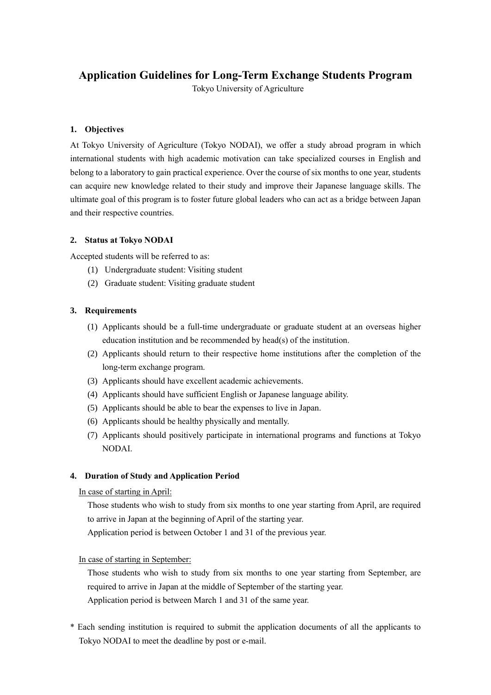# **Application Guidelines for Long-Term Exchange Students Program**

Tokyo University of Agriculture

### **1. Objectives**

At Tokyo University of Agriculture (Tokyo NODAI), we offer a study abroad program in which international students with high academic motivation can take specialized courses in English and belong to a laboratory to gain practical experience. Over the course of six months to one year, students can acquire new knowledge related to their study and improve their Japanese language skills. The ultimate goal of this program is to foster future global leaders who can act as a bridge between Japan and their respective countries.

### **2. Status at Tokyo NODAI**

Accepted students will be referred to as:

- (1) Undergraduate student: Visiting student
- (2) Graduate student: Visiting graduate student

### **3. Requirements**

- (1) Applicants should be a full-time undergraduate or graduate student at an overseas higher education institution and be recommended by head(s) of the institution.
- (2) Applicants should return to their respective home institutions after the completion of the long-term exchange program.
- (3) Applicants should have excellent academic achievements.
- (4) Applicants should have sufficient English or Japanese language ability.
- (5) Applicants should be able to bear the expenses to live in Japan.
- (6) Applicants should be healthy physically and mentally.
- (7) Applicants should positively participate in international programs and functions at Tokyo NODAI.

### **4. Duration of Study and Application Period**

## In case of starting in April:

 Those students who wish to study from six months to one year starting from April, are required to arrive in Japan at the beginning of April of the starting year.

Application period is between October 1 and 31 of the previous year.

In case of starting in September:

 Those students who wish to study from six months to one year starting from September, are required to arrive in Japan at the middle of September of the starting year.

Application period is between March 1 and 31 of the same year.

\* Each sending institution is required to submit the application documents of all the applicants to Tokyo NODAI to meet the deadline by post or e-mail.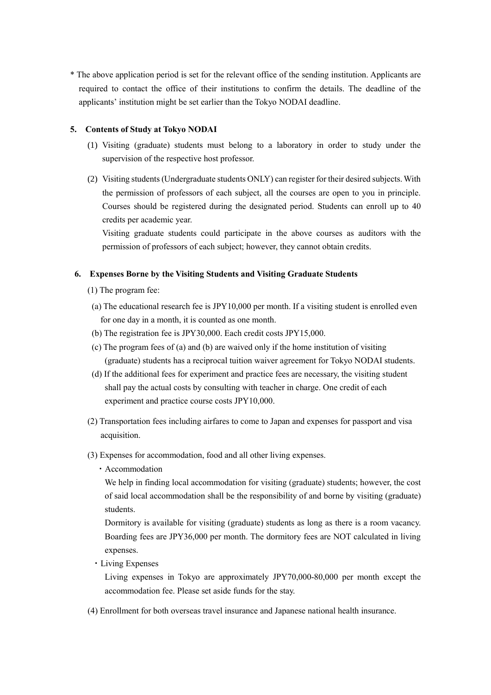\* The above application period is set for the relevant office of the sending institution. Applicants are required to contact the office of their institutions to confirm the details. The deadline of the applicants' institution might be set earlier than the Tokyo NODAI deadline.

### **5. Contents of Study at Tokyo NODAI**

- (1) Visiting (graduate) students must belong to a laboratory in order to study under the supervision of the respective host professor.
- (2) Visiting students(Undergraduate students ONLY) can register for their desired subjects. With the permission of professors of each subject, all the courses are open to you in principle. Courses should be registered during the designated period. Students can enroll up to 40 credits per academic year.

Visiting graduate students could participate in the above courses as auditors with the permission of professors of each subject; however, they cannot obtain credits.

#### **6. Expenses Borne by the Visiting Students and Visiting Graduate Students**

- (1) The program fee:
- (a) The educational research fee is JPY10,000 per month. If a visiting student is enrolled even for one day in a month, it is counted as one month.
- (b) The registration fee is JPY30,000. Each credit costs JPY15,000.
- (c) The program fees of (a) and (b) are waived only if the home institution of visiting (graduate) students has a reciprocal tuition waiver agreement for Tokyo NODAI students.
- (d) If the additional fees for experiment and practice fees are necessary, the visiting student shall pay the actual costs by consulting with teacher in charge. One credit of each experiment and practice course costs JPY10,000.
- (2) Transportation fees including airfares to come to Japan and expenses for passport and visa acquisition.
- (3) Expenses for accommodation, food and all other living expenses.
	- ・Accommodation

We help in finding local accommodation for visiting (graduate) students; however, the cost of said local accommodation shall be the responsibility of and borne by visiting (graduate) students.

Dormitory is available for visiting (graduate) students as long as there is a room vacancy. Boarding fees are JPY36,000 per month. The dormitory fees are NOT calculated in living expenses.

・Living Expenses

Living expenses in Tokyo are approximately JPY70,000-80,000 per month except the accommodation fee. Please set aside funds for the stay.

(4) Enrollment for both overseas travel insurance and Japanese national health insurance.